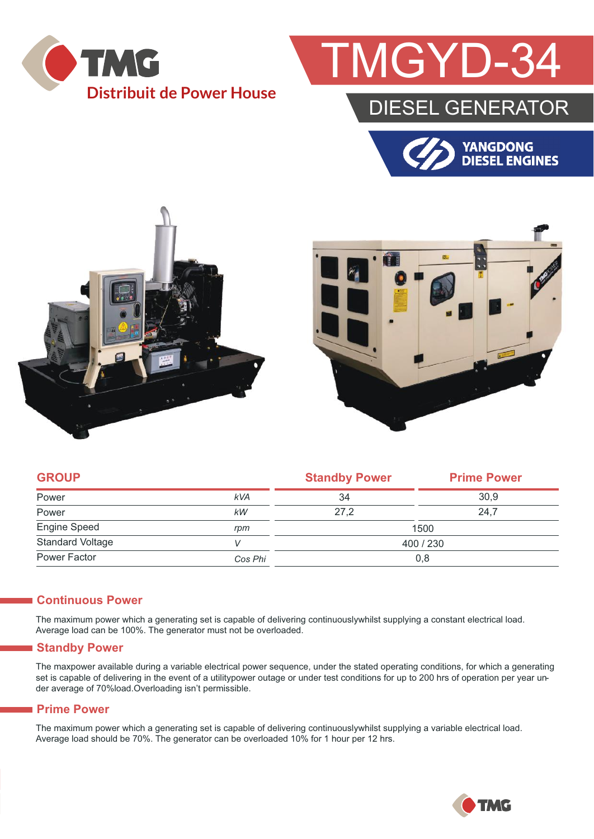

## GYD-

### DIESEL GENERATOR







| <b>GROUP</b>            |            | <b>Standby Power</b> | <b>Prime Power</b> |  |
|-------------------------|------------|----------------------|--------------------|--|
| Power                   | <b>kVA</b> | 34                   | 30.9               |  |
| Power                   | kW         | 27.2                 | 24.7               |  |
| <b>Engine Speed</b>     | rpm        | 1500                 |                    |  |
| <b>Standard Voltage</b> |            | 400 / 230            |                    |  |
| Power Factor            | Cos Phi    | 0,8                  |                    |  |

#### **Continuous Power**

The maximum power which a generating set is capable of delivering continuouslywhilst supplying a constant electrical load. Average load can be 100%. The generator must not be overloaded.

#### **Standby Power**

The maxpower available during a variable electrical power sequence, under the stated operating conditions, for which a generating set is capable of delivering in the event of a utilitypower outage or under test conditions for up to 200 hrs of operation per year under average of 70%load.Overloading isn't permissible.

#### **Prime Power**

The maximum power which a generating set is capable of delivering continuouslywhilst supplying a variable electrical load. Average load should be 70%. The generator can be overloaded 10% for 1 hour per 12 hrs.

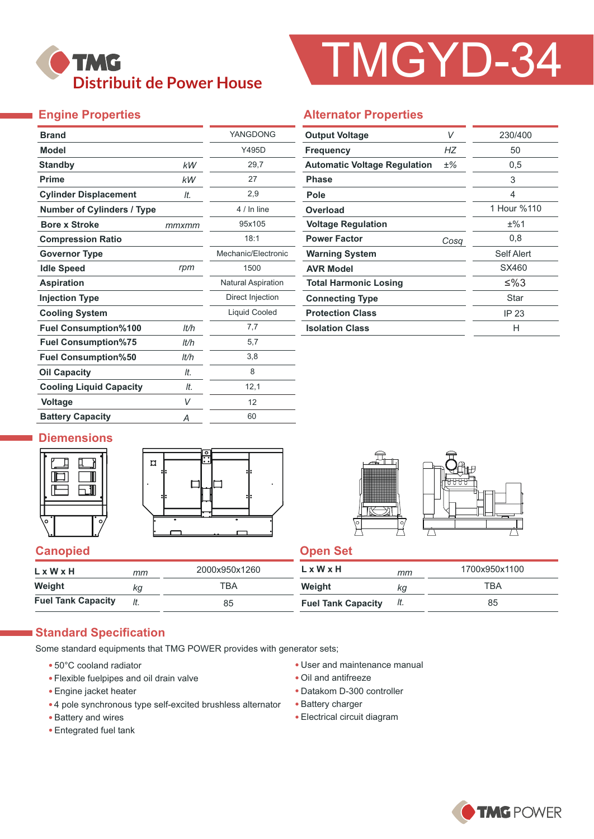## **TMG Distribuit de Power House**

# TMGYD-34

#### **Engine Properties**

| <b>Brand</b>                      |       | YANGDONG                  |
|-----------------------------------|-------|---------------------------|
| <b>Model</b>                      |       | Y495D                     |
| <b>Standby</b>                    | kW    | 29,7                      |
| <b>Prime</b>                      | kW    | 27                        |
| <b>Cylinder Displacement</b>      | It.   | 2,9                       |
| <b>Number of Cylinders / Type</b> |       | 4 / In line               |
| <b>Bore x Stroke</b>              | mmxmm | 95x105                    |
| <b>Compression Ratio</b>          |       | 18:1                      |
| <b>Governor Type</b>              |       | Mechanic/Electronic       |
| <b>Idle Speed</b>                 | rpm   | 1500                      |
| <b>Aspiration</b>                 |       | <b>Natural Aspiration</b> |
| <b>Injection Type</b>             |       | Direct Injection          |
| <b>Cooling System</b>             |       | Liquid Cooled             |
| <b>Fuel Consumption%100</b>       | lt/h  | 7,7                       |
| <b>Fuel Consumption%75</b>        | It/h  | 5,7                       |
| <b>Fuel Consumption%50</b>        | It/h  | 3,8                       |
| <b>Oil Capacity</b>               | It.   | 8                         |
| <b>Cooling Liquid Capacity</b>    | It.   | 12,1                      |
| <b>Voltage</b>                    | V     | 12                        |
| <b>Battery Capacity</b>           | Α     | 60                        |

#### **Alternator Properties**

| V<br><b>Output Voltage</b>          |       | 230/400     |  |  |
|-------------------------------------|-------|-------------|--|--|
| <b>Frequency</b>                    | НZ    | 50          |  |  |
| <b>Automatic Voltage Regulation</b> | $±\%$ | 0,5         |  |  |
| <b>Phase</b>                        |       | 3           |  |  |
| Pole                                |       | 4           |  |  |
| Overload                            |       | 1 Hour %110 |  |  |
| <b>Voltage Regulation</b>           |       | ±%1         |  |  |
| <b>Power Factor</b>                 | Cosq  | 0,8         |  |  |
| <b>Warning System</b>               |       | Self Alert  |  |  |
| <b>AVR Model</b>                    |       | SX460       |  |  |
| <b>Total Harmonic Losing</b>        |       | ≤%3         |  |  |
| <b>Connecting Type</b>              |       | Star        |  |  |
| <b>Protection Class</b>             |       | IP 23       |  |  |
| <b>Isolation Class</b>              |       | н           |  |  |

#### **Diemensions**







#### **Canopied Canopied Canopied Canopied Canopied** Canopied Canopied Canopied Canopied Canopied Canopied Canopied Canopied Canopied Canopied Canopied Canopied Canopied Canopied Canopied Canopied Canopied Canopied Canopied Cano

| $L \times W \times H$     | mт | 2000x950x1260 | L x W x H                 | mm  | 1700x950x1100 |
|---------------------------|----|---------------|---------------------------|-----|---------------|
| Weight                    | ka | ТВА           | Weight                    | ΚG  | ТВА           |
| <b>Fuel Tank Capacity</b> |    | 85            | <b>Fuel Tank Capacity</b> | It. | 85            |

#### **Standard Specification**

Some standard equipments that TMG POWER provides with generator sets;

- 50°C cooland radiator
- Flexible fuelpipes and oil drain valve
- Engine jacket heater
- 4 pole synchronous type self-excited brushless alternator
- Battery and wires
- Entegrated fuel tank
- User and maintenance manual
- Oil and antifreeze
- Datakom D-300 controller
- Battery charger
- Electrical circuit diagram